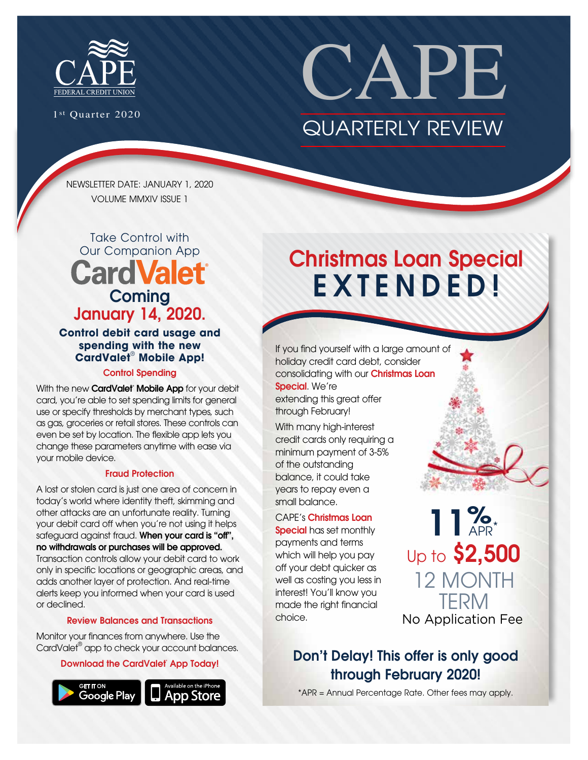

1st Quarter 2020

# CAPE QUARTERLY REVIEW

NEWSLETTER DATE: JANUARY 1, 2020 VOLUME MMXIV ISSUE 1

### Take Control with Our Companion App **CardValet Coming** January 14, 2020.

**Control debit card usage and spending with the new CardValet**®  **Mobile App!** 

#### Control Spending

With the new **CardValet<sup>®</sup> Mobile App** for your debit card, you're able to set spending limits for general use or specify thresholds by merchant types, such as gas, groceries or retail stores. These controls can even be set by location. The flexible app lets you change these parameters anytime with ease via your mobile device.

#### Fraud Protection

A lost or stolen card is just one area of concern in today's world where identity theft, skimming and other attacks are an unfortunate reality. Turning your debit card off when you're not using it helps safeguard against fraud. When your card is "off", no withdrawals or purchases will be approved. Transaction controls allow your debit card to work only in specific locations or geographic areas, and adds another layer of protection. And real-time alerts keep you informed when your card is used or declined.

#### Review Balances and Transactions

Monitor your finances from anywhere. Use the CardValet® app to check your account balances.

#### Download the CardValet<sup>®</sup> App Today!



# Christmas Loan Special EXTENDED!

If you find yourself with a large amount of holiday credit card debt, consider consolidating with our Christmas Loan Special. We're

extending this great offer through February!

With many high-interest credit cards only requiring a minimum payment of 3-5% of the outstanding balance, it could take years to repay even a small balance.

CAPE's Christmas Loan Special has set monthly payments and terms which will help you pay off your debt quicker as well as costing you less in interest! You'll know you made the right financial choice.



No Application Fee 12 MONTH TERM 11% Up to \$2,500

### Don't Delay! This offer is only good through February 2020!

\*APR = Annual Percentage Rate. Other fees may apply.